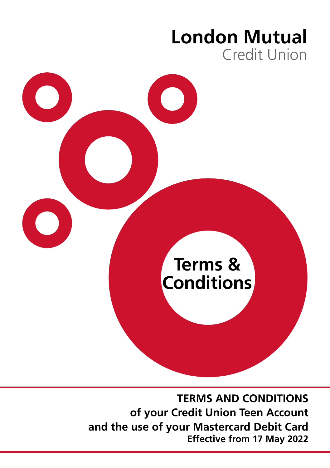# **London Mutual** Credit Union



**TERMS AND CONDITIONS of your Credit Union Teen Account and the use of your Mastercard Debit Card Effective from 17 May 2022**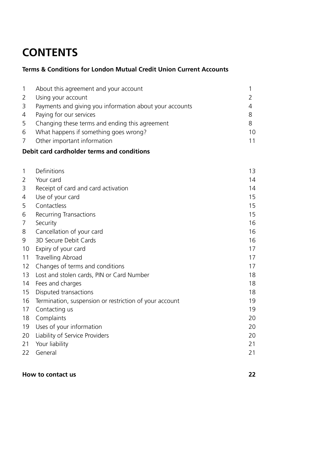# **CONTENTS**

# **Terms & Conditions for London Mutual Credit Union Current Accounts**

| $\mathbf{1}$   | About this agreement and your account                   |    |
|----------------|---------------------------------------------------------|----|
|                |                                                         |    |
| 2              | Using your account                                      |    |
| 3              | Payments and giving you information about your accounts |    |
| $\overline{4}$ | Paying for our services                                 |    |
| 5              | Changing these terms and ending this agreement          |    |
| 6              | What happens if something goes wrong?                   | 10 |
| 7              | Other important information                             | 11 |
|                |                                                         |    |

# **Debit card cardholder terms and conditions**

| 1  | Definitions                                            | 13 |
|----|--------------------------------------------------------|----|
| 2  | Your card                                              | 14 |
| 3  | Receipt of card and card activation                    | 14 |
| 4  | Use of your card                                       | 15 |
| 5  | Contactless                                            | 15 |
| 6  | Recurring Transactions                                 | 15 |
| 7  | Security                                               | 16 |
| 8  | Cancellation of your card                              | 16 |
| 9  | 3D Secure Debit Cards                                  | 16 |
| 10 | Expiry of your card                                    | 17 |
| 11 | Travelling Abroad                                      | 17 |
| 12 | Changes of terms and conditions                        | 17 |
| 13 | Lost and stolen cards, PIN or Card Number              | 18 |
| 14 | Fees and charges                                       | 18 |
| 15 | Disputed transactions                                  | 18 |
| 16 | Termination, suspension or restriction of your account | 19 |
| 17 | Contacting us                                          | 19 |
| 18 | Complaints                                             | 20 |
| 19 | Uses of your information                               | 20 |
| 20 | Liability of Service Providers                         | 20 |
| 21 | Your liability                                         | 21 |
| 22 | General                                                | 21 |
|    |                                                        |    |

# **How to contact us 22**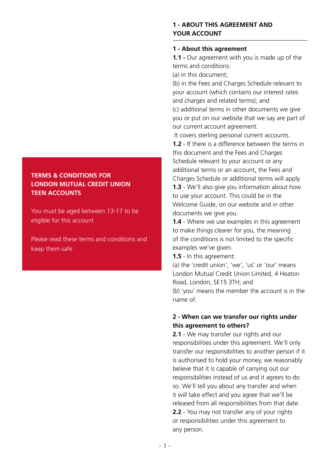# **TERMS & CONDITIONS FOR LONDON MUTUAL CREDIT UNION TEEN ACCOUNTS**

You must be aged between 13-17 to be eligible for this account

Please read these terms and conditions and keep them safe

# **1 - ABOUT THIS AGREEMENT AND YOUR ACCOUNT**

# **1 - About this agreement**

**1.1 -** Our agreement with you is made up of the terms and conditions:

(a) in this document;

(b) in the Fees and Charges Schedule relevant to your account (which contains our interest rates and charges and related terms); and (c) additional terms in other documents we give you or put on our website that we say are part of our current account agreement.

 It covers sterling personal current accounts. **1.2** - If there is a difference between the terms in this document and the Fees and Charges Schedule relevant to your account or any additional terms or an account, the Fees and Charges Schedule or additional terms will apply. **1.3** - We'll also give you information about how to use your account. This could be in the Welcome Guide, on our website and in other documents we give you.

**1.4** - Where we use examples in this agreement to make things clearer for you, the meaning of the conditions is not limited to the specific examples we've given.

**1.5** - In this agreement:

(a) the 'credit union', 'we', 'us' or 'our' means' London Mutual Credit Union Limited, 4 Heaton Road, London, SE15 3TH; and (b) 'you' means the member the account is in the name of.

# **2 - When can we transfer our rights under this agreement to others?**

**2.1** - We may transfer our rights and our responsibilities under this agreement. We'll only transfer our responsibilities to another person if it is authorised to hold your money, we reasonably believe that it is capable of carrying out our responsibilities instead of us and it agrees to do so. We'll tell you about any transfer and when it will take effect and you agree that we'll be released from all responsibilities from that date. **2.2** - You may not transfer any of your rights or responsibilities under this agreement to

any person.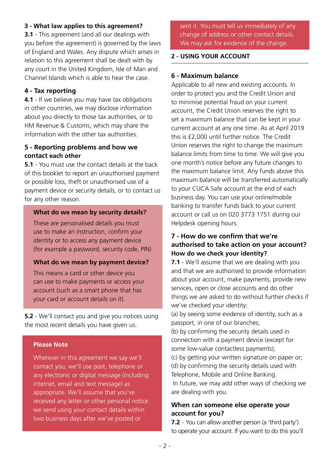# **3 - What law applies to this agreement?**

**3.1** - This agreement (and all our dealings with you before the agreement) is governed by the laws of England and Wales. Any dispute which arises in relation to this agreement shall be dealt with by any court in the United Kingdom, Isle of Man and Channel Islands which is able to hear the case.

# **4 - Tax reporting**

**4.1** - If we believe you may have tax obligations in other countries, we may disclose information about you directly to those tax authorities, or to HM Revenue & Customs, which may share the information with the other tax authorities.

# **5 - Reporting problems and how we contact each other**

**5.1** - You must use the contact details at the back of this booklet to report an unauthorised payment or possible loss, theft or unauthorised use of a payment device or security details, or to contact us for any other reason.

#### **What do we mean by security details?**

These are personalised details you must use to make an instruction, confirm your identity or to access any payment device (for example a password, security code, PIN)

#### **What do we mean by payment device?**

This means a card or other device you can use to make payments or access your account (such as a smart phone that has your card or account details on it).

**5.2** - We'll contact you and give you notices using the most recent details you have given us.

# **Please Note**

Wherever in this agreement we say we'll contact you, we'll use post, telephone or any electronic or digital message (including internet, email and text message) as appropriate. We'll assume that you've received any letter or other personal notice we send using your contact details within two business days after we've posted or

sent it. You must tell us immediately of any change of address or other contact details. We may ask for evidence of the change.

#### **2 - USING YOUR ACCOUNT**

#### **6 - Maximum balance**

Applicable to all new and existing accounts. In order to protect you and the Credit Union and to minimise potential fraud on your current account, the Credit Union reserves the right to set a maximum balance that can be kept in your current account at any one time. As at April 2019 this is £2,000 until further notice. The Credit Union reserves the right to change the maximum balance limits from time to time. We will give you one month's notice before any future changes to the maximum balance limit. Any funds above this maximum balance will be transferred automatically to your CUCA Safe account at the end of each business day. You can use your online/mobile banking to transfer funds back to your current account or call us on 020 3773 1751 during our Helpdesk opening hours.

# **7 - How do we confirm that we're authorised to take action on your account? How do we check your identity?**

**7.1** - We'll assume that we are dealing with you and that we are authorised to provide information about your account, make payments, provide new services, open or close accounts and do other things we are asked to do without further checks if we've checked your identity:

(a) by seeing some evidence of identity, such as a passport, in one of our branches;

(b) by confirming the security details used in connection with a payment device (except for some low-value contactless payments);

(c) by getting your written signature on paper or; (d) by confirming the security details used with

Telephone, Mobile and Online Banking.

 In future, we may add other ways of checking we are dealing with you.

# **When can someone else operate your account for you?**

**7.2** - You can allow another person (a 'third party') to operate your account. If you want to do this you'll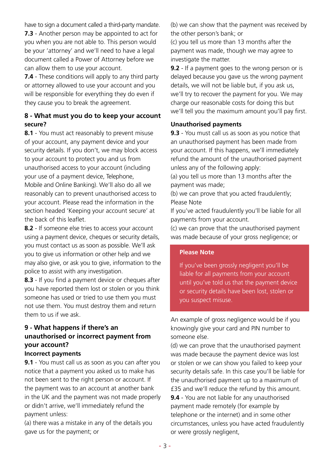have to sign a document called a third-party mandate. **7.3** - Another person may be appointed to act for you when you are not able to. This person would be your 'attorney' and we'll need to have a legal document called a Power of Attorney before we can allow them to use your account.

**7.4** - These conditions will apply to any third party or attorney allowed to use your account and you will be responsible for everything they do even if they cause you to break the agreement.

# **8 - What must you do to keep your account secure?**

**8.1** - You must act reasonably to prevent misuse of your account, any payment device and your security details. If you don't, we may block access to your account to protect you and us from unauthorised access to your account (including your use of a payment device, Telephone, Mobile and Online Banking). We'll also do all we reasonably can to prevent unauthorised access to your account. Please read the information in the section headed 'Keeping your account secure' at the back of this leaflet.

**8.2** - If someone else tries to access your account using a payment device, cheques or security details, you must contact us as soon as possible. We'll ask you to give us information or other help and we may also give, or ask you to give, information to the police to assist with any investigation.

**8.3** - If you find a payment device or cheques after you have reported them lost or stolen or you think someone has used or tried to use them you must not use them. You must destroy them and return them to us if we ask.

# **9 - What happens if there's an unauthorised or incorrect payment from your account?**

#### **Incorrect payments**

**9.1** - You must call us as soon as you can after you notice that a payment you asked us to make has not been sent to the right person or account. If the payment was to an account at another bank in the UK and the payment was not made properly or didn't arrive, we'll immediately refund the payment unless:

(a) there was a mistake in any of the details you gave us for the payment; or

(b) we can show that the payment was received by the other person's bank; or

(c) you tell us more than 13 months after the payment was made, though we may agree to investigate the matter.

**9.2** - If a payment goes to the wrong person or is delayed because you gave us the wrong payment details, we will not be liable but, if you ask us, we'll try to recover the payment for you. We may charge our reasonable costs for doing this but we'll tell you the maximum amount you'll pay first.

#### **Unauthorised payments**

**9.3** - You must call us as soon as you notice that an unauthorised payment has been made from your account. If this happens, we'll immediately refund the amount of the unauthorised payment unless any of the following apply:

(a) you tell us more than 13 months after the payment was made;

(b) we can prove that you acted fraudulently; Please Note

If you've acted fraudulently you'll be liable for all payments from your account.

(c) we can prove that the unauthorised payment was made because of your gross negligence; or

#### **Please Note**

If you've been grossly negligent you'll be liable for all payments from your account until you've told us that the payment device or security details have been lost, stolen or you suspect misuse.

An example of gross negligence would be if you knowingly give your card and PIN number to someone else.

(d) we can prove that the unauthorised payment was made because the payment device was lost or stolen or we can show you failed to keep your security details safe. In this case you'll be liable for the unauthorised payment up to a maximum of £35 and we'll reduce the refund by this amount. **9.4** - You are not liable for any unauthorised payment made remotely (for example by telephone or the internet) and in some other circumstances, unless you have acted fraudulently or were grossly negligent,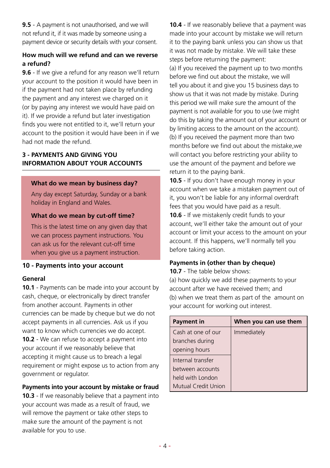**9.5** - A payment is not unauthorised, and we will not refund it, if it was made by someone using a payment device or security details with your consent.

# **How much will we refund and can we reverse a refund?**

**9.6** - If we give a refund for any reason we'll return your account to the position it would have been in if the payment had not taken place by refunding the payment and any interest we charged on it (or by paying any interest we would have paid on it). If we provide a refund but later investigation finds you were not entitled to it, we'll return your account to the position it would have been in if we had not made the refund.

# **3 - PAYMENTS AND GIVING YOU INFORMATION ABOUT YOUR ACCOUNTS**

#### **What do we mean by business day?**

Any day except Saturday, Sunday or a bank holiday in England and Wales.

#### **What do we mean by cut-off time?**

This is the latest time on any given day that we can process payment instructions. You can ask us for the relevant cut-off time when you give us a payment instruction.

#### **10 - Payments into your account**

#### **General**

**10.1** - Payments can be made into your account by cash, cheque, or electronically by direct transfer from another account. Payments in other currencies can be made by cheque but we do not accept payments in all currencies. Ask us if you want to know which currencies we do accept. **10.2** - We can refuse to accept a payment into your account if we reasonably believe that accepting it might cause us to breach a legal requirement or might expose us to action from any government or regulator.

#### **Payments into your account by mistake or fraud**

**10.3** - If we reasonably believe that a payment into your account was made as a result of fraud, we will remove the payment or take other steps to make sure the amount of the payment is not available for you to use.

**10.4** - If we reasonably believe that a payment was made into your account by mistake we will return it to the paying bank unless you can show us that it was not made by mistake. We will take these steps before returning the payment: (a) If you received the payment up to two months before we find out about the mistake, we will tell you about it and give you 15 business days to show us that it was not made by mistake. During this period we will make sure the amount of the payment is not available for you to use (we might do this by taking the amount out of your account or by limiting access to the amount on the account). (b) If you received the payment more than two months before we find out about the mistake,we will contact you before restricting your ability to use the amount of the payment and before we return it to the paying bank.

**10.5** - If you don't have enough money in your account when we take a mistaken payment out of it, you won't be liable for any informal overdraft fees that you would have paid as a result.

**10.6** - If we mistakenly credit funds to your account, we'll either take the amount out of your account or limit your access to the amount on your account. If this happens, we'll normally tell you before taking action.

#### **Payments in (other than by cheque)**

**10.7** - The table below shows:

(a) how quickly we add these payments to your account after we have received them; and (b) when we treat them as part of the amount on your account for working out interest.

| Payment in          | When you can use them |  |
|---------------------|-----------------------|--|
| Cash at one of our  | Immediately           |  |
| branches during     |                       |  |
| opening hours       |                       |  |
| Internal transfer   |                       |  |
| between accounts    |                       |  |
| held with London    |                       |  |
| Mutual Credit Union |                       |  |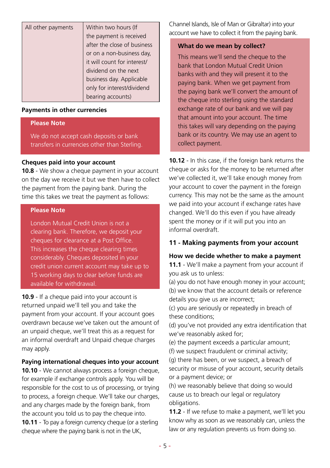| All other payments | Within two hours (If        |
|--------------------|-----------------------------|
|                    | the payment is received     |
|                    | after the close of business |
|                    | or on a non-business day,   |
|                    | it will count for interest/ |
|                    | dividend on the next        |
|                    | business day. Applicable    |
|                    | only for interest/dividend  |
|                    | bearing accounts)           |

#### **Payments in other currencies**

#### **Please Note**

We do not accept cash deposits or bank transfers in currencies other than Sterling.

#### **Cheques paid into your account**

**10.8** - We show a cheque payment in your account on the day we receive it but we then have to collect the payment from the paying bank. During the time this takes we treat the payment as follows:

#### **Please Note**

London Mutual Credit Union is not a clearing bank. Therefore, we deposit your cheques for clearance at a Post Office. This increases the cheque clearing times considerably. Cheques deposited in your credit union current account may take up to 15 working days to clear before funds are available for withdrawal.

**10.9** - If a cheque paid into your account is returned unpaid we'll tell you and take the payment from your account. If your account goes overdrawn because we've taken out the amount of an unpaid cheque, we'll treat this as a request for an informal overdraft and Unpaid cheque charges may apply.

#### **Paying international cheques into your account**

**10.10** - We cannot always process a foreign cheque, for example if exchange controls apply. You will be responsible for the cost to us of processing, or trying to process, a foreign cheque. We'll take our charges, and any charges made by the foreign bank, from the account you told us to pay the cheque into. **10.11** - To pay a foreign currency cheque (or a sterling cheque where the paying bank is not in the UK,

Channel Islands, Isle of Man or Gibraltar) into your account we have to collect it from the paying bank.

#### **What do we mean by collect?**

This means we'll send the cheque to the bank that London Mutual Credit Union banks with and they will present it to the paying bank. When we get payment from the paying bank we'll convert the amount of the cheque into sterling using the standard exchange rate of our bank and we will pay that amount into your account. The time this takes will vary depending on the paying bank or its country. We may use an agent to collect payment.

**10.12** - In this case, if the foreign bank returns the cheque or asks for the money to be returned after we've collected it, we'll take enough money from your account to cover the payment in the foreign currency. This may not be the same as the amount we paid into your account if exchange rates have changed. We'll do this even if you have already spent the money or if it will put you into an informal overdraft.

#### **11 - Making payments from your account**

#### **How we decide whether to make a payment**

**11.1** - We'll make a payment from your account if you ask us to unless:

(a) you do not have enough money in your account; (b) we know that the account details or reference details you give us are incorrect;

(c) you are seriously or repeatedly in breach of these conditions;

(d) you've not provided any extra identification that we've reasonably asked for;

(e) the payment exceeds a particular amount;

(f) we suspect fraudulent or criminal activity; (g) there has been, or we suspect, a breach of security or misuse of your account, security details

or a payment device; or (h) we reasonably believe that doing so would cause us to breach our legal or regulatory obligations.

**11.2** - If we refuse to make a payment, we'll let you know why as soon as we reasonably can, unless the law or any regulation prevents us from doing so.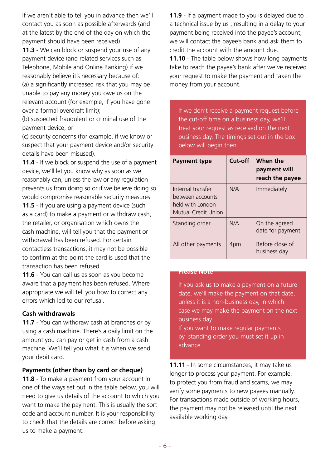If we aren't able to tell you in advance then we'll contact you as soon as possible afterwards (and at the latest by the end of the day on which the payment should have been received).

**11.3** - We can block or suspend your use of any payment device (and related services such as Telephone, Mobile and Online Banking) if we reasonably believe it's necessary because of: (a) a significantly increased risk that you may be unable to pay any money you owe us on the relevant account (for example, if you have gone over a formal overdraft limit);

(b) suspected fraudulent or criminal use of the payment device; or

(c) security concerns (for example, if we know or suspect that your payment device and/or security details have been misused).

**11.4** - If we block or suspend the use of a payment device, we'll let you know why as soon as we reasonably can, unless the law or any regulation prevents us from doing so or if we believe doing so would compromise reasonable security measures.

**11.5** - If you are using a payment device (such as a card) to make a payment or withdraw cash, the retailer, or organisation which owns the cash machine, will tell you that the payment or withdrawal has been refused. For certain contactless transactions, it may not be possible to confirm at the point the card is used that the transaction has been refused.

**11.6** - You can call us as soon as you become aware that a payment has been refused. Where appropriate we will tell you how to correct any errors which led to our refusal.

#### **Cash withdrawals**

**11.7** - You can withdraw cash at branches or by using a cash machine. There's a daily limit on the amount you can pay or get in cash from a cash machine. We'll tell you what it is when we send your debit card.

#### **Payments (other than by card or cheque)**

**11.8** - To make a payment from your account in one of the ways set out in the table below, you will need to give us details of the account to which you want to make the payment. This is usually the sort code and account number. It is your responsibility to check that the details are correct before asking us to make a payment.

**11.9** - If a payment made to you is delayed due to a technical issue by us , resulting in a delay to your payment being received into the payee's account, we will contact the payee's bank and ask them to credit the account with the amount due.

**11.10** - The table below shows how long payments take to reach the payee's bank after we've received your request to make the payment and taken the money from your account.

If we don't receive a payment request before the cut-off time on a business day, we'll treat your request as received on the next business day. The timings set out in the box below will begin then.

| <b>Payment type</b>                                                              | Cut-off | When the<br>payment will<br>reach the payee |
|----------------------------------------------------------------------------------|---------|---------------------------------------------|
| Internal transfer<br>between accounts<br>held with London<br>Mutual Credit Union | N/A     | Immediately                                 |
| Standing order                                                                   | N/A     | On the agreed<br>date for payment           |
| All other payments                                                               | 4pm     | Before close of<br>business day             |

#### **Please Note**

**Please Note**

If you ask us to make a payment on a future date, we'll make the payment on that date, unless it is a non-business day, in which case we may make the payment on the next business day.

If you want to make regular payments by standing order you must set it up in advance.

**11.11** - In some circumstances, it may take us longer to process your payment. For example, to protect you from fraud and scams, we may verify some payments to new payees manually. For transactions made outside of working hours, the payment may not be released until the next available working day.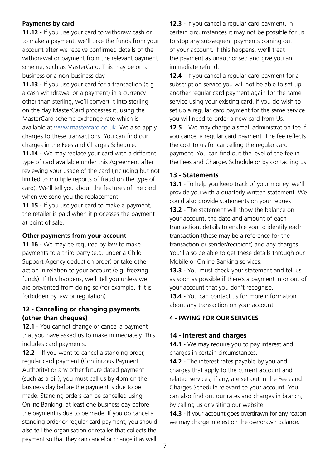#### **Payments by card**

**11.12** - If you use your card to withdraw cash or to make a payment, we'll take the funds from your account after we receive confirmed details of the withdrawal or payment from the relevant payment scheme, such as MasterCard. This may be on a business or a non-business day.

**11.13** - If you use your card for a transaction (e.g. a cash withdrawal or a payment) in a currency other than sterling, we'll convert it into sterling on the day MasterCard processes it, using the MasterCard scheme exchange rate which is available at [www.mastercard.co.uk.](https://www.mastercard.co.uk/en-gb.html) We also apply charges to these transactions. You can find our charges in the Fees and Charges Schedule. **11.14** - We may replace your card with a different type of card available under this Agreement after reviewing your usage of the card (including but not limited to multiple reports of fraud on the type of card). We'll tell you about the features of the card when we send you the replacement.

**11.15** - If you use your card to make a payment, the retailer is paid when it processes the payment at point of sale.

#### **Other payments from your account**

**11.16** - We may be required by law to make payments to a third party (e.g. under a Child Support Agency deduction order) or take other action in relation to your account (e.g. freezing funds). If this happens, we'll tell you unless we are prevented from doing so (for example, if it is forbidden by law or regulation).

#### **12 - Cancelling or changing payments (other than cheques)**

**12.1** - You cannot change or cancel a payment that you have asked us to make immediately. This includes card payments.

**12.2** - If you want to cancel a standing order, regular card payment (Continuous Payment Authority) or any other future dated payment (such as a bill), you must call us by 4pm on the business day before the payment is due to be made. Standing orders can be cancelled using Online Banking, at least one business day before the payment is due to be made. If you do cancel a standing order or regular card payment, you should also tell the organisation or retailer that collects the payment so that they can cancel or change it as well.

**12.3** - If you cancel a regular card payment, in certain circumstances it may not be possible for us to stop any subsequent payments coming out of your account. If this happens, we'll treat the payment as unauthorised and give you an immediate refund.

**12.4 -** If you cancel a regular card payment for a subscription service you will not be able to set up another regular card payment again for the same service using your existing card. If you do wish to set up a regular card payment for the same service you will need to order a new card from Us.

**12.5** – We may charge a small administration fee if you cancel a regular card payment. The fee reflects the cost to us for cancelling the regular card payment. You can find out the level of the fee in the Fees and Charges Schedule or by contacting us

#### **13 - Statements**

**13.1** - To help you keep track of your money, we'll provide you with a quarterly written statement. We could also provide statements on your request **13.2** - The statement will show the balance on your account, the date and amount of each transaction, details to enable you to identify each transaction (these may be a reference for the transaction or sender/recipient) and any charges. You'll also be able to get these details through our Mobile or Online Banking services.

**13.3** - You must check your statement and tell us as soon as possible if there's a payment in or out of your account that you don't recognise.

**13.4** - You can contact us for more information about any transaction on your account.

# **4 - PAYING FOR OUR SERVICES**

#### **14 - Interest and charges**

**14.1** - We may require you to pay interest and charges in certain circumstances.

**14.2** - The interest rates payable by you and charges that apply to the current account and related services, if any, are set out in the Fees and Charges Schedule relevant to your account. You can also find out our rates and charges in branch, by calling us or visiting our website.

**14.3** - If your account goes overdrawn for any reason we may charge interest on the overdrawn balance.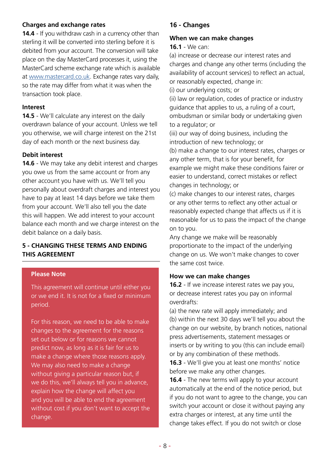#### **Charges and exchange rates**

**14.4** - If you withdraw cash in a currency other than sterling it will be converted into sterling before it is debited from your account. The conversion will take place on the day MasterCard processes it, using the MasterCard scheme exchange rate which is available at [www.mastercard.co.uk](https://www.mastercard.co.uk/en-gb.html). Exchange rates vary daily, so the rate may differ from what it was when the transaction took place.

#### **Interest**

**14.5** - We'll calculate any interest on the daily overdrawn balance of your account. Unless we tell you otherwise, we will charge interest on the 21st day of each month or the next business day.

#### **Debit interest**

**14.6** - We may take any debit interest and charges you owe us from the same account or from any other account you have with us. We'll tell you personally about overdraft charges and interest you have to pay at least 14 days before we take them from your account. We'll also tell you the date this will happen. We add interest to your account balance each month and we charge interest on the debit balance on a daily basis.

#### **5 - CHANGING THESE TERMS AND ENDING THIS AGREEMENT**

#### **Please Note**

This agreement will continue until either you or we end it. It is not for a fixed or minimum period.

For this reason, we need to be able to make changes to the agreement for the reasons set out below or for reasons we cannot predict now, as long as it is fair for us to make a change where those reasons apply. We may also need to make a change without giving a particular reason but, if we do this, we'll always tell you in advance, explain how the change will affect you and you will be able to end the agreement without cost if you don't want to accept the change.

# **16 - Changes**

#### **When we can make changes**

#### **16.1** - We can:

(a) increase or decrease our interest rates and charges and change any other terms (including the availability of account services) to reflect an actual, or reasonably expected, change in:

(i) our underlying costs; or

(ii) law or regulation, codes of practice or industry guidance that applies to us, a ruling of a court, ombudsman or similar body or undertaking given to a regulator; or

(iii) our way of doing business, including the introduction of new technology; or

(b) make a change to our interest rates, charges or any other term, that is for your benefit, for example we might make these conditions fairer or easier to understand, correct mistakes or reflect changes in technology; or

(c) make changes to our interest rates, charges or any other terms to reflect any other actual or reasonably expected change that affects us if it is reasonable for us to pass the impact of the change on to you.

Any change we make will be reasonably proportionate to the impact of the underlying change on us. We won't make changes to cover the same cost twice.

#### **How we can make changes**

**16.2** - If we increase interest rates we pay you, or decrease interest rates you pay on informal overdrafts:

(a) the new rate will apply immediately; and (b) within the next 30 days we'll tell you about the change on our website, by branch notices, national press advertisements, statement messages or inserts or by writing to you (this can include email) or by any combination of these methods.

**16.3** - We'll give you at least one months' notice before we make any other changes.

**16.4** - The new terms will apply to your account automatically at the end of the notice period, but if you do not want to agree to the change, you can switch your account or close it without paying any extra charges or interest, at any time until the change takes effect. If you do not switch or close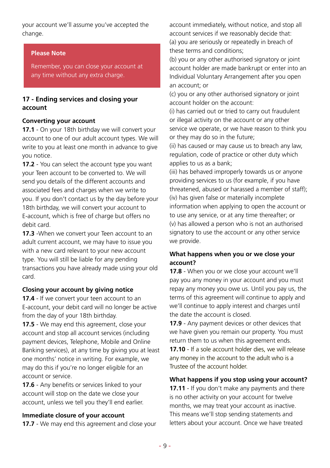your account we'll assume you've accepted the change.

#### **Please Note**

Remember, you can close your account at any time without any extra charge.

# **17 - Ending services and closing your account**

#### **Converting your account**

**17.1** - On your 18th birthday we will convert your account to one of our adult account types. We will write to you at least one month in advance to give you notice.

**17.2** - You can select the account type you want your Teen account to be converted to. We will send you details of the different accounts and associated fees and charges when we write to you. If you don't contact us by the day before your 18th birthday, we will convert your account to E-account, which is free of charge but offers no debit card.

**17.3** -When we convert your Teen account to an adult current account, we may have to issue you with a new card relevant to your new account type. You will still be liable for any pending transactions you have already made using your old card.

# **Closing your account by giving notice**

**17.4** - If we convert your teen account to an E-account, your debit card will no longer be active from the day of your 18th birthday.

**17.5** - We may end this agreement, close your account and stop all account services (including payment devices, Telephone, Mobile and Online Banking services), at any time by giving you at least one months' notice in writing. For example, we may do this if you're no longer eligible for an account or service.

**17.6** - Any benefits or services linked to your account will stop on the date we close your account, unless we tell you they'll end earlier.

#### **Immediate closure of your account**

**17.7** - We may end this agreement and close your

account immediately, without notice, and stop all account services if we reasonably decide that: (a) you are seriously or repeatedly in breach of these terms and conditions;

(b) you or any other authorised signatory or joint account holder are made bankrupt or enter into an Individual Voluntary Arrangement after you open an account; or

(c) you or any other authorised signatory or joint account holder on the account:

(i) has carried out or tried to carry out fraudulent or illegal activity on the account or any other service we operate, or we have reason to think you or they may do so in the future;

(ii) has caused or may cause us to breach any law, regulation, code of practice or other duty which applies to us as a bank;

(iii) has behaved improperly towards us or anyone providing services to us (for example, if you have threatened, abused or harassed a member of staff); (iv) has given false or materially incomplete information when applying to open the account or to use any service, or at any time thereafter; or (v) has allowed a person who is not an authorised signatory to use the account or any other service we provide.

#### **What happens when you or we close your account?**

**17.8** - When you or we close your account we'll pay you any money in your account and you must repay any money you owe us. Until you pay us, the terms of this agreement will continue to apply and we'll continue to apply interest and charges until the date the account is closed.

**17.9** - Any payment devices or other devices that we have given you remain our property. You must return them to us when this agreement ends.

# **17.10** - If a sole account holder dies, we will release any money in the account to the adult who is a Trustee of the account holder.

**What happens if you stop using your account? 17.11** - If you don't make any payments and there is no other activity on your account for twelve months, we may treat your account as inactive. This means we'll stop sending statements and letters about your account. Once we have treated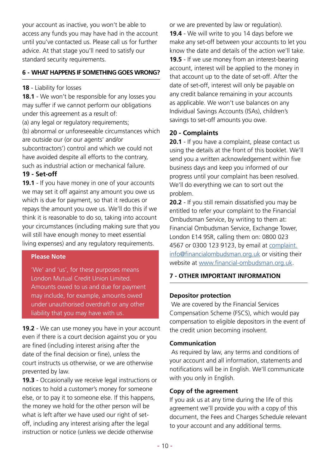your account as inactive, you won't be able to access any funds you may have had in the account until you've contacted us. Please call us for further advice. At that stage you'll need to satisfy our standard security requirements.

#### **6 - WHAT HAPPENS IF SOMETHING GOES WRONG?**

#### **18** - Liability for losses

**18.1** - We won't be responsible for any losses you may suffer if we cannot perform our obligations under this agreement as a result of:

(a) any legal or regulatory requirements; (b) abnormal or unforeseeable circumstances which are outside our (or our agents' and/or subcontractors') control and which we could not have avoided despite all efforts to the contrary, such as industrial action or mechanical failure.

#### **19 - Set-off**

**19.1** - If you have money in one of your accounts we may set it off against any amount you owe us which is due for payment, so that it reduces or repays the amount you owe us. We'll do this if we think it is reasonable to do so, taking into account your circumstances (including making sure that you will still have enough money to meet essential living expenses) and any regulatory requirements.

#### **Please Note**

'We' and 'us', for these purposes means London Mutual Credit Union Limited. Amounts owed to us and due for payment may include, for example, amounts owed under unauthorised overdraft or any other liability that you may have with us.

**19.2** - We can use money you have in your account even if there is a court decision against you or you are fined (including interest arising after the date of the final decision or fine), unless the court instructs us otherwise, or we are otherwise prevented by law.

**19.3** - Occasionally we receive legal instructions or notices to hold a customer's money for someone else, or to pay it to someone else. If this happens, the money we hold for the other person will be what is left after we have used our right of setoff, including any interest arising after the legal instruction or notice (unless we decide otherwise

or we are prevented by law or regulation). **19.4** - We will write to you 14 days before we make any set-off between your accounts to let you know the date and details of the action we'll take. **19.5** - If we use money from an interest-bearing account, interest will be applied to the money in that account up to the date of set-off. After the date of set-off, interest will only be payable on any credit balance remaining in your accounts as applicable. We won't use balances on any Individual Savings Accounts (ISAs), children's savings to set-off amounts you owe.

# **20 - Complaints**

20.1 - If you have a complaint, please contact us using the details at the front of this booklet. We'll send you a written acknowledgement within five business days and keep you informed of our progress until your complaint has been resolved. We'll do everything we can to sort out the problem.

**20.2** - If you still remain dissatisfied you may be entitled to refer your complaint to the Financial Ombudsman Service, by writing to them at: Financial Ombudsman Service, Exchange Tower, London E14 9SR, calling them on: 0800 023 4567 or 0300 123 9123, by email at [complaint.](mailto:complaint.info%40financialombudsman.org.uk?subject=) [info@financialombudsman.org.uk](mailto:complaint.info%40financialombudsman.org.uk?subject=) or visiting their website at [www.financial-ombudsman.org.uk.](https://www.financial-ombudsman.org.uk/)

# **7 - OTHER IMPORTANT INFORMATION**

#### **Depositor protection**

 We are covered by the Financial Services Compensation Scheme (FSCS), which would pay compensation to eligible depositors in the event of the credit union becoming insolvent.

#### **Communication**

 As required by law, any terms and conditions of your account and all information, statements and notifications will be in English. We'll communicate with you only in English.

#### **Copy of the agreement**

If you ask us at any time during the life of this agreement we'll provide you with a copy of this document, the Fees and Charges Schedule relevant to your account and any additional terms.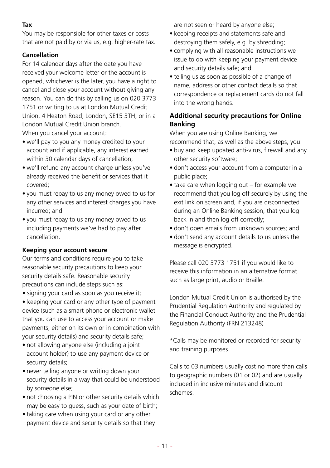#### **Tax**

You may be responsible for other taxes or costs that are not paid by or via us, e.g. higher-rate tax.

# **Cancellation**

For 14 calendar days after the date you have received your welcome letter or the account is opened, whichever is the later, you have a right to cancel and close your account without giving any reason. You can do this by calling us on 020 3773 1751 or writing to us at London Mutual Credit Union, 4 Heaton Road, London, SE15 3TH, or in a London Mutual Credit Union branch. When you cancel your account:

- we'll pay to you any money credited to your account and if applicable, any interest earned within 30 calendar days of cancellation;
- we'll refund any account charge unless you've already received the benefit or services that it covered;
- you must repay to us any money owed to us for any other services and interest charges you have incurred; and
- you must repay to us any money owed to us including payments we've had to pay after cancellation.

#### **Keeping your account secure**

Our terms and conditions require you to take reasonable security precautions to keep your security details safe. Reasonable security precautions can include steps such as:

• signing your card as soon as you receive it;

• keeping your card or any other type of payment device (such as a smart phone or electronic wallet that you can use to access your account or make payments, either on its own or in combination with your security details) and security details safe;

- not allowing anyone else (including a joint account holder) to use any payment device or security details;
- never telling anyone or writing down your security details in a way that could be understood by someone else;
- not choosing a PIN or other security details which may be easy to guess, such as your date of birth;
- taking care when using your card or any other payment device and security details so that they

are not seen or heard by anyone else;

- keeping receipts and statements safe and destroying them safely, e.g. by shredding;
- complying with all reasonable instructions we issue to do with keeping your payment device and security details safe; and
- telling us as soon as possible of a change of name, address or other contact details so that correspondence or replacement cards do not fall into the wrong hands.

# **Additional security precautions for Online Banking**

When you are using Online Banking, we recommend that, as well as the above steps, you:

- buy and keep updated anti-virus, firewall and any other security software;
- don't access your account from a computer in a public place;
- take care when logging out for example we recommend that you log off securely by using the exit link on screen and, if you are disconnected during an Online Banking session, that you log back in and then log off correctly;
- don't open emails from unknown sources; and
- don't send any account details to us unless the message is encrypted.

Please call 020 3773 1751 if you would like to receive this information in an alternative format such as large print, audio or Braille.

London Mutual Credit Union is authorised by the Prudential Regulation Authority and regulated by the Financial Conduct Authority and the Prudential Regulation Authority (FRN 213248)

\*Calls may be monitored or recorded for security and training purposes.

Calls to 03 numbers usually cost no more than calls to geographic numbers (01 or 02) and are usually included in inclusive minutes and discount schemes.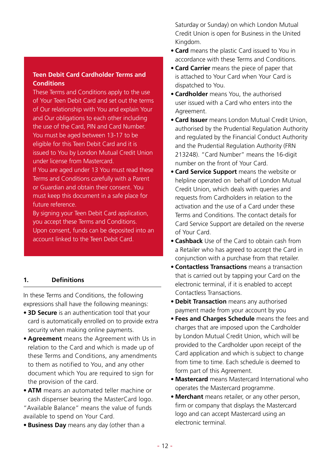#### **Teen Debit Card Cardholder Terms and Conditions**

These Terms and Conditions apply to the use of Your Teen Debit Card and set out the terms of Our relationship with You and explain Your and Our obligations to each other including the use of the Card, PIN and Card Number. You must be aged between 13-17 to be eligible for this Teen Debit Card and it is issued to You by London Mutual Credit Union under license from Mastercard.

If You are aged under 13 You must read these Terms and Conditions carefully with a Parent or Guardian and obtain their consent. You must keep this document in a safe place for future reference.

By signing your Teen Debit Card application, you accept these Terms and Conditions. Upon consent, funds can be deposited into an account linked to the Teen Debit Card.

#### **1. Definitions**

In these Terms and Conditions, the following expressions shall have the following meanings:

- **• 3D Secure** is an authentication tool that your card is automatically enrolled on to provide extra security when making online payments.
- **• Agreement** means the Agreement with Us in relation to the Card and which is made up of these Terms and Conditions, any amendments to them as notified to You, and any other document which You are required to sign for the provision of the card.
- **• ATM** means an automated teller machine or cash dispenser bearing the MasterCard logo. "Available Balance" means the value of funds available to spend on Your Card.
- **• Business Day** means any day (other than a

Saturday or Sunday) on which London Mutual Credit Union is open for Business in the United Kingdom.

- **• Card** means the plastic Card issued to You in accordance with these Terms and Conditions.
- **• Card Carrier** means the piece of paper that is attached to Your Card when Your Card is dispatched to You.
- **• Cardholder** means You, the authorised user issued with a Card who enters into the Agreement.
- **• Card Issuer** means London Mutual Credit Union, authorised by the Prudential Regulation Authority and regulated by the Financial Conduct Authority and the Prudential Regulation Authority (FRN 213248). "Card Number" means the 16-digit number on the front of Your Card.
- **• Card Service Support** means the website or helpline operated on behalf of London Mutual Credit Union, which deals with queries and requests from Cardholders in relation to the activation and the use of a Card under these Terms and Conditions. The contact details for Card Service Support are detailed on the reverse of Your Card.
- **• Cashback** Use of the Card to obtain cash from a Retailer who has agreed to accept the Card in conjunction with a purchase from that retailer.
- **• Contactless Transactions** means a transaction that is carried out by tapping your Card on the electronic terminal, if it is enabled to accept Contactless Transactions.
- **• Debit Transaction** means any authorised payment made from your account by you
- **• Fees and Charges Schedule** means the fees and charges that are imposed upon the Cardholder by London Mutual Credit Union, which will be provided to the Cardholder upon receipt of the Card application and which is subject to change from time to time. Each schedule is deemed to form part of this Agreement.
- **• Mastercard** means Mastercard International who operates the Mastercard programme.
- **• Merchant** means retailer, or any other person, firm or company that displays the Mastercard logo and can accept Mastercard using an electronic terminal.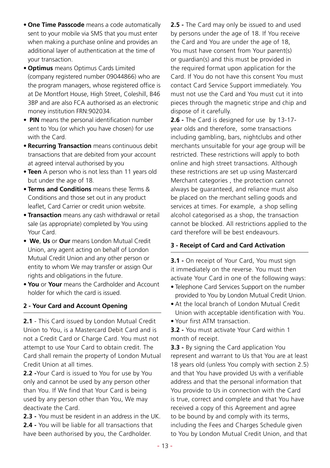- **• One Time Passcode** means a code automatically sent to your mobile via SMS that you must enter when making a purchase online and provides an additional layer of authentication at the time of your transaction.
- **• Optimus** means Optimus Cards Limited (company registered number 09044866) who are the program managers, whose registered office is at De Montfort House, High Street, Coleshill, B46 3BP and are also FCA authorised as an electronic money institution FRN:902034.
- **PIN** means the personal identification number sent to You (or which you have chosen) for use with the Card.
- **• Recurring Transaction** means continuous debit transactions that are debited from your account at agreed interval authorised by you
- **• Teen** A person who is not less than 11 years old but under the age of 18.
- **• Terms and Conditions** means these Terms & Conditions and those set out in any product leaflet, Card Carrier or credit union website.
- **• Transaction** means any cash withdrawal or retail sale (as appropriate) completed by You using Your Card.
- **We**, **Us** or **Our** means London Mutual Credit Union, any agent acting on behalf of London Mutual Credit Union and any other person or entity to whom We may transfer or assign Our rights and obligations in the future.
- **• You** or **Your** means the Cardholder and Account holder for which the card is issued.

#### **2 - Your Card and Account Opening**

**2.1** - This Card issued by London Mutual Credit Union to You, is a Mastercard Debit Card and is not a Credit Card or Charge Card. You must not attempt to use Your Card to obtain credit. The Card shall remain the property of London Mutual Credit Union at all times.

**2.2 -**Your Card is issued to You for use by You only and cannot be used by any person other than You. If We find that Your Card is being used by any person other than You, We may deactivate the Card.

- **2.3 -** You must be resident in an address in the UK.
- **2.4** You will be liable for all transactions that have been authorised by you, the Cardholder.

**2.5 -** The Card may only be issued to and used by persons under the age of 18. If You receive the Card and You are under the age of 18, You must have consent from Your parent(s) or guardian(s) and this must be provided in the required format upon application for the Card. If You do not have this consent You must contact Card Service Support immediately. You must not use the Card and You must cut it into pieces through the magnetic stripe and chip and dispose of it carefully.

**2.6 -** The Card is designed for use by 13-17 year olds and therefore, some transactions including gambling, bars, nightclubs and other merchants unsuitable for your age group will be restricted. These restrictions will apply to both online and high street transactions. Although these restrictions are set up using Mastercard Merchant categories , the protection cannot always be guaranteed, and reliance must also be placed on the merchant selling goods and services at times. For example, a shop selling alcohol categorised as a shop, the transaction cannot be blocked. All restrictions applied to the card therefore will be best endeavours.

# **3 - Receipt of Card and Card Activation**

**3.1 -** On receipt of Your Card, You must sign it immediately on the reverse. You must then activate Your Card in one of the following ways:

- Telephone Card Services Support on the number provided to You by London Mutual Credit Union.
- At the local branch of London Mutual Credit Union with acceptable identification with You.
- Your first ATM transaction.

**3.2 -** You must activate Your Card within 1 month of receipt.

**3.3 -** By signing the Card application You represent and warrant to Us that You are at least 18 years old (unless You comply with section 2.5) and that You have provided Us with a verifiable address and that the personal information that You provide to Us in connection with the Card is true, correct and complete and that You have received a copy of this Agreement and agree to be bound by and comply with its terms, including the Fees and Charges Schedule given to You by London Mutual Credit Union, and that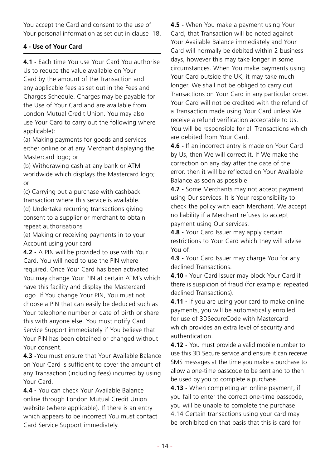You accept the Card and consent to the use of Your personal information as set out in clause 18.

# **4 - Use of Your Card**

**4.1 -** Each time You use Your Card You authorise Us to reduce the value available on Your Card by the amount of the Transaction and any applicable fees as set out in the Fees and Charges Schedule. Charges may be payable for the Use of Your Card and are available from London Mutual Credit Union. You may also use Your Card to carry out the following where applicable):

(a) Making payments for goods and services either online or at any Merchant displaying the Mastercard logo; or

(b) Withdrawing cash at any bank or ATM worldwide which displays the Mastercard logo; or

(c) Carrying out a purchase with cashback transaction where this service is available. (d) Undertake recurring transactions giving

consent to a supplier or merchant to obtain repeat authorisations

(e) Making or receiving payments in to your Account using your card

**4.2 -** A PIN will be provided to use with Your Card. You will need to use the PIN where required. Once Your Card has been activated You may change Your PIN at certain ATM's which have this facility and display the Mastercard logo. If You change Your PIN, You must not choose a PIN that can easily be deduced such as Your telephone number or date of birth or share this with anyone else. You must notify Card Service Support immediately if You believe that Your PIN has been obtained or changed without Your consent.

**4.3 -**You must ensure that Your Available Balance on Your Card is sufficient to cover the amount of any Transaction (including fees) incurred by using Your Card.

**4.4 -** You can check Your Available Balance online through London Mutual Credit Union website (where applicable). If there is an entry which appears to be incorrect You must contact Card Service Support immediately.

**4.5 -** When You make a payment using Your Card, that Transaction will be noted against Your Available Balance immediately and Your Card will normally be debited within 2 business days, however this may take longer in some circumstances. When You make payments using Your Card outside the UK, it may take much longer. We shall not be obliged to carry out Transactions on Your Card in any particular order. Your Card will not be credited with the refund of a Transaction made using Your Card unless We receive a refund verification acceptable to Us. You will be responsible for all Transactions which are debited from Your Card.

**4.6 -** If an incorrect entry is made on Your Card by Us, then We will correct it. If We make the correction on any day after the date of the error, then it will be reflected on Your Available Balance as soon as possible.

**4.7 -** Some Merchants may not accept payment using Our services. It is Your responsibility to check the policy with each Merchant. We accept no liability if a Merchant refuses to accept payment using Our services.

**4.8 -** Your Card Issuer may apply certain restrictions to Your Card which they will advise You of.

**4.9 -** Your Card Issuer may charge You for any declined Transactions.

**4.10 -** Your Card Issuer may block Your Card if there is suspicion of fraud (for example: repeated declined Transactions).

**4.11 -** If you are using your card to make online payments, you will be automatically enrolled for use of 3DSecureCode with Mastercard which provides an extra level of security and authentication.

**4.12 -** You must provide a valid mobile number to use this 3D Secure service and ensure it can receive SMS messages at the time you make a purchase to allow a one-time passcode to be sent and to then be used by you to complete a purchase.

**4.13 -** When completing an online payment, if you fail to enter the correct one-time passcode, you will be unable to complete the purchase.

4.14 Certain transactions using your card may be prohibited on that basis that this is card for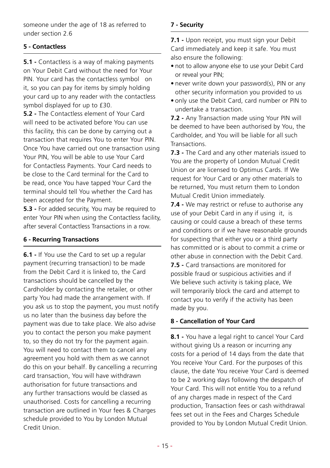someone under the age of 18 as referred to under section 2.6

# **5 - Contactless**

**5.1 -** Contactless is a way of making payments on Your Debit Card without the need for Your PIN. Your card has the contactless symbol on it, so you can pay for items by simply holding your card up to any reader with the contactless symbol displayed for up to £30.

**5.2 -** The Contactless element of Your Card will need to be activated before You can use this facility, this can be done by carrying out a transaction that requires You to enter Your PIN. Once You have carried out one transaction using Your PIN, You will be able to use Your Card for Contactless Payments. Your Card needs to be close to the Card terminal for the Card to be read, once You have tapped Your Card the terminal should tell You whether the Card has been accepted for the Payment.

**5.3 -** For added security, You may be required to enter Your PIN when using the Contactless facility, after several Contactless Transactions in a row.

#### **6 - Recurring Transactions**

**6.1 -** If You use the Card to set up a regular payment (recurring transaction) to be made from the Debit Card it is linked to, the Card transactions should be cancelled by the Cardholder by contacting the retailer, or other party You had made the arrangement with. If you ask us to stop the payment, you must notify us no later than the business day before the payment was due to take place. We also advise you to contact the person you make payment to, so they do not try for the payment again. You will need to contact them to cancel any agreement you hold with them as we cannot do this on your behalf. By cancelling a recurring card transaction, You will have withdrawn authorisation for future transactions and any further transactions would be classed as unauthorised. Costs for cancelling a recurring transaction are outlined in Your fees & Charges schedule provided to You by London Mutual Credit Union.

# **7 - Security**

**7.1 -** Upon receipt, you must sign your Debit Card immediately and keep it safe. You must also ensure the following:

- not to allow anyone else to use your Debit Card or reveal your PIN;
- never write down your password(s), PIN or any other security information you provided to us
- only use the Debit Card, card number or PIN to undertake a transaction.

**7.2 -** Any Transaction made using Your PIN will be deemed to have been authorised by You, the Cardholder, and You will be liable for all such **Transactions** 

**7.3 -** The Card and any other materials issued to You are the property of London Mutual Credit Union or are licensed to Optimus Cards. If We request for Your Card or any other materials to be returned, You must return them to London Mutual Credit Union immediately.

**7.4 -** We may restrict or refuse to authorise any use of your Debit Card in any if using it, is causing or could cause a breach of these terms and conditions or if we have reasonable grounds for suspecting that either you or a third party has committed or is about to commit a crime or other abuse in connection with the Debit Card. **7.5 -** Card transactions are monitored for possible fraud or suspicious activities and if We believe such activity is taking place, We will temporarily block the card and attempt to contact you to verify if the activity has been made by you.

# **8 - Cancellation of Your Card**

**8.1 -** You have a legal right to cancel Your Card without giving Us a reason or incurring any costs for a period of 14 days from the date that You receive Your Card. For the purposes of this clause, the date You receive Your Card is deemed to be 2 working days following the despatch of Your Card. This will not entitle You to a refund of any charges made in respect of the Card production, Transaction fees or cash withdrawal fees set out in the Fees and Charges Schedule provided to You by London Mutual Credit Union.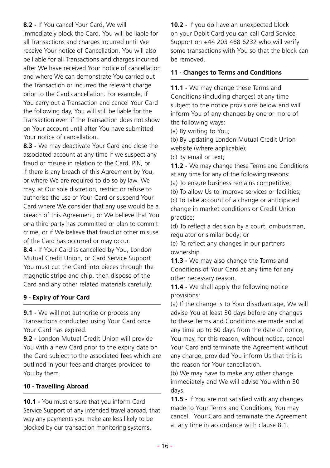#### **8.2 -** If You cancel Your Card, We will

immediately block the Card. You will be liable for all Transactions and charges incurred until We receive Your notice of Cancellation. You will also be liable for all Transactions and charges incurred after We have received Your notice of cancellation and where We can demonstrate You carried out the Transaction or incurred the relevant charge prior to the Card cancellation. For example, if You carry out a Transaction and cancel Your Card the following day, You will still be liable for the Transaction even if the Transaction does not show on Your account until after You have submitted Your notice of cancellation.

**8.3 -** We may deactivate Your Card and close the associated account at any time if we suspect any fraud or misuse in relation to the Card, PIN, or if there is any breach of this Agreement by You, or where We are required to do so by law. We may, at Our sole discretion, restrict or refuse to authorise the use of Your Card or suspend Your Card where We consider that any use would be a breach of this Agreement, or We believe that You or a third party has committed or plan to commit crime, or if We believe that fraud or other misuse of the Card has occurred or may occur.

**8.4 -** If Your Card is cancelled by You, London Mutual Credit Union, or Card Service Support You must cut the Card into pieces through the magnetic stripe and chip, then dispose of the Card and any other related materials carefully.

# **9 - Expiry of Your Card**

**9.1 -** We will not authorise or process any Transactions conducted using Your Card once Your Card has expired.

**9.2 -** London Mutual Credit Union will provide You with a new Card prior to the expiry date on the Card subject to the associated fees which are outlined in your fees and charges provided to You by them.

#### **10 - Travelling Abroad**

**10.1 -** You must ensure that you inform Card Service Support of any intended travel abroad, that way any payments you make are less likely to be blocked by our transaction monitoring systems.

**10.2 -** If you do have an unexpected block on your Debit Card you can call Card Service Support on +44 203 468 6232 who will verify some transactions with You so that the block can be removed.

# **11 - Changes to Terms and Conditions**

**11.1 -** We may change these Terms and Conditions (including charges) at any time subject to the notice provisions below and will inform You of any changes by one or more of the following ways:

(a) By writing to You;

(b) By updating London Mutual Credit Union website (where applicable);

(c) By email or text;

**11.2 -** We may change these Terms and Conditions at any time for any of the following reasons:

(a) To ensure business remains competitive;

(b) To allow Us to improve services or facilities;

(c) To take account of a change or anticipated change in market conditions or Credit Union practice;

(d) To reflect a decision by a court, ombudsman, regulator or similar body; or

(e) To reflect any changes in our partners ownership.

**11.3 -** We may also change the Terms and Conditions of Your Card at any time for any other necessary reason.

**11.4 -** We shall apply the following notice provisions:

(a) If the change is to Your disadvantage, We will advise You at least 30 days before any changes to these Terms and Conditions are made and at any time up to 60 days from the date of notice, You may, for this reason, without notice, cancel Your Card and terminate the Agreement without any charge, provided You inform Us that this is the reason for Your cancellation.

(b) We may have to make any other change immediately and We will advise You within 30 days.

**11.5 -** If You are not satisfied with any changes made to Your Terms and Conditions, You may cancel Your Card and terminate the Agreement at any time in accordance with clause 8.1.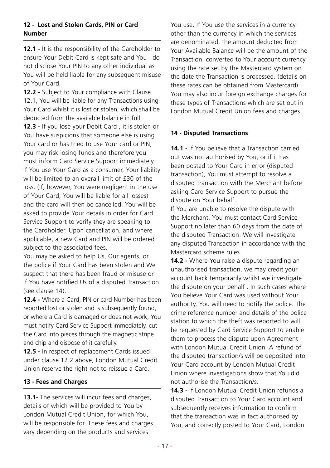#### **12 - Lost and Stolen Cards, PIN or Card Number**

12.1 - It is the responsibility of the Cardholder to ensure Your Debit Card is kept safe and You do not disclose Your PIN to any other individual as You will be held liable for any subsequent misuse of Your Card.

**12.2 -** Subject to Your compliance with Clause 12.1, You will be liable for any Transactions using Your Card whilst it is lost or stolen, which shall be deducted from the available balance in full.

**12.3 -** If you lose your Debit Card , it is stolen or You have suspicions that someone else is using Your card or has tried to use Your card or PIN, you may risk losing funds and therefore you must inform Card Service Support immediately. If You use Your Card as a consumer, Your liability will be limited to an overall limit of £30 of the loss. (If, however, You were negligent in the use of Your Card, You will be liable for all losses) and the card will then be cancelled. You will be asked to provide Your details in order for Card Service Support to verify they are speaking to the Cardholder. Upon cancellation, and where applicable, a new Card and PIN will be ordered subject to the associated fees.

You may be asked to help Us, Our agents, or the police if Your Card has been stolen and We suspect that there has been fraud or misuse or if You have notified Us of a disputed Transaction (see clause 14).

**12.4 -** Where a Card, PIN or card Number has been reported lost or stolen and is subsequently found, or where a Card is damaged or does not work, You must notify Card Service Support immediately, cut the Card into pieces through the magnetic stripe and chip and dispose of it carefully.

**12.5 -** In respect of replacement Cards issued under clause 12.2 above, London Mutual Credit Union reserve the right not to reissue a Card.

# **13 - Fees and Charges**

1**3.1-** The services will incur fees and charges, details of which will be provided to You by London Mutual Credit Union, for which You, will be responsible for. These fees and charges vary depending on the products and services

You use. If You use the services in a currency other than the currency in which the services are denominated, the amount deducted from Your Available Balance will be the amount of the Transaction, converted to Your account currency using the rate set by the Mastercard system on the date the Transaction is processed. (details on these rates can be obtained from Mastercard). You may also incur foreign exchange charges for these types of Transactions which are set out in London Mutual Credit Union fees and charges.

# **14 - Disputed Transactions**

**14.1 -** If You believe that a Transaction carried out was not authorised by You, or if it has been posted to Your Card in error (disputed transaction), You must attempt to resolve a disputed Transaction with the Merchant before asking Card Service Support to pursue the dispute on Your behalf.

If You are unable to resolve the dispute with the Merchant, You must contact Card Service Support no later than 60 days from the date of the disputed Transaction. We will investigate any disputed Transaction in accordance with the Mastercard scheme rules.

**14.2 -** Where You raise a dispute regarding an unauthorised transaction, we may credit your account back temporarily whilst we investigate the dispute on your behalf . In such cases where You believe Your Card was used without Your authority, You will need to notify the police. The crime reference number and details of the police station to which the theft was reported to will be requested by Card Service Support to enable them to process the dispute upon Agreement with London Mutual Credit Union. A refund of the disputed transaction/s will be deposited into Your Card account by London Mutual Credit Union where investigations show that You did not authorise the Transaction/s.

**14.3 -** If London Mutual Credit Union refunds a disputed Transaction to Your Card account and subsequently receives information to confirm that the transaction was in fact authorised by You, and correctly posted to Your Card, London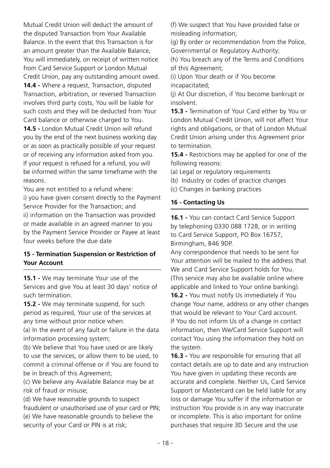Mutual Credit Union will deduct the amount of the disputed Transaction from Your Available Balance. In the event that this Transaction is for an amount greater than the Available Balance, You will immediately, on receipt of written notice from Card Service Support or London Mutual Credit Union, pay any outstanding amount owed. **14.4 -** Where a request, Transaction, disputed Transaction, arbitration, or reversed Transaction involves third party costs, You will be liable for such costs and they will be deducted from Your Card balance or otherwise charged to You.

**14.5 -** London Mutual Credit Union will refund you by the end of the next business working day or as soon as practically possible of your request or of receiving any information asked from you. If your request is refused for a refund, you will be informed within the same timeframe with the reasons.

You are not entitled to a refund where: i) you have given consent directly to the Payment Service Provider for the Transaction; and ii) information on the Transaction was provided or made available in an agreed manner to you by the Payment Service Provider or Payee at least four weeks before the due date

#### **15 - Termination Suspension or Restriction of Your Account**

**15.1 -** We may terminate Your use of the Services and give You at least 30 days' notice of such termination.

**15.2 -** We may terminate suspend, for such period as required, Your use of the services at any time without prior notice when:

(a) In the event of any fault or failure in the data information processing system;

(b) We believe that You have used or are likely to use the services, or allow them to be used, to commit a criminal offense or if You are found to be in breach of this Agreement;

(c) We believe any Available Balance may be at risk of fraud or misuse;

(d) We have reasonable grounds to suspect fraudulent or unauthorised use of your card or PIN; (e) We have reasonable grounds to believe the security of your Card or PIN is at risk;

(f) We suspect that You have provided false or misleading information;

(g) By order or recommendation from the Police, Governmental or Regulatory Authority;

(h) You breach any of the Terms and Conditions of this Agreement;

(i) Upon Your death or if You become

incapacitated;

(j) At Our discretion, if You become bankrupt or insolvent.

**15.3 -** Termination of Your Card either by You or London Mutual Credit Union, will not affect Your rights and obligations, or that of London Mutual Credit Union arising under this Agreement prior to termination.

**15.4 -** Restrictions may be applied for one of the following reasons:

(a) Legal or regulatory requirements

- (b) Industry or codes of practice changes
- (c) Changes in banking practices

#### **16 - Contacting Us**

**16.1 -** You can contact Card Service Support by telephoning 0330 088 1728, or in writing to Card Service Support, PO Box 16757, Birmingham, B46 9DP.

Any correspondence that needs to be sent for Your attention will be mailed to the address that We and Card Service Support holds for You. (This service may also be available online where applicable and linked to Your online banking).

**16.2 -** You must notify Us immediately if You change Your name, address or any other changes that would be relevant to Your Card account. If You do not inform Us of a change in contact information, then We/Card Service Support will contact You using the information they hold on the system.

**16.3 -** You are responsible for ensuring that all contact details are up to date and any instruction You have given in updating these records are accurate and complete. Neither Us, Card Service Support or Mastercard can be held liable for any loss or damage You suffer if the information or instruction You provide is in any way inaccurate or incomplete. This is also important for online purchases that require 3D Secure and the use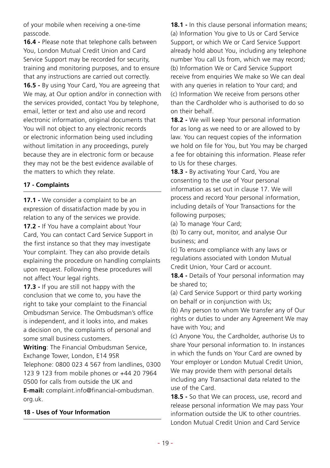of your mobile when receiving a one-time passcode.

**16.4 -** Please note that telephone calls between You, London Mutual Credit Union and Card Service Support may be recorded for security, training and monitoring purposes, and to ensure that any instructions are carried out correctly. **16.5 -** By using Your Card, You are agreeing that We may, at Our option and/or in connection with the services provided, contact You by telephone, email, letter or text and also use and record electronic information, original documents that You will not object to any electronic records or electronic information being used including without limitation in any proceedings, purely because they are in electronic form or because they may not be the best evidence available of the matters to which they relate.

# **17 - Complaints**

**17.1 -** We consider a complaint to be an expression of dissatisfaction made by you in relation to any of the services we provide. **17.2 -** If You have a complaint about Your Card, You can contact Card Service Support in the first instance so that they may investigate Your complaint. They can also provide details explaining the procedure on handling complaints upon request. Following these procedures will not affect Your legal rights.

**17.3 -** If you are still not happy with the conclusion that we come to, you have the right to take your complaint to the Financial Ombudsman Service. The Ombudsman's office is independent, and it looks into, and makes a decision on, the complaints of personal and some small business customers.

**Writing**: The Financial Ombudsman Service, Exchange Tower, London, E14 9SR Telephone: 0800 023 4 567 from landlines, 0300 123 9 123 from mobile phones or +44 20 7964 0500 for calls from outside the UK and **E-mail:** complaint.info@financial-ombudsman. org.uk.

#### **18 - Uses of Your Information**

**18.1 -** In this clause personal information means; (a) Information You give to Us or Card Service Support, or which We or Card Service Support already hold about You, including any telephone number You call Us from, which we may record; (b) Information We or Card Service Support receive from enquiries We make so We can deal with any queries in relation to Your card; and (c) Information We receive from persons other than the Cardholder who is authorised to do so on their behalf.

**18.2 -** We will keep Your personal information for as long as we need to or are allowed to by law. You can request copies of the information we hold on file for You, but You may be charged a fee for obtaining this information. Please refer to Us for these charges.

**18.3 -** By activating Your Card, You are consenting to the use of Your personal information as set out in clause 17. We will process and record Your personal information, including details of Your Transactions for the following purposes;

(a) To manage Your Card;

(b) To carry out, monitor, and analyse Our business; and

(c) To ensure compliance with any laws or regulations associated with London Mutual Credit Union, Your Card or account.

18.4 - Details of Your personal information may be shared to;

(a) Card Service Support or third party working on behalf or in conjunction with Us;

(b) Any person to whom We transfer any of Our rights or duties to under any Agreement We may have with You; and

(c) Anyone You, the Cardholder, authorise Us to share Your personal information to. In instances in which the funds on Your Card are owned by Your employer or London Mutual Credit Union, We may provide them with personal details including any Transactional data related to the use of the Card.

**18.5 -** So that We can process, use, record and release personal information We may pass Your information outside the UK to other countries. London Mutual Credit Union and Card Service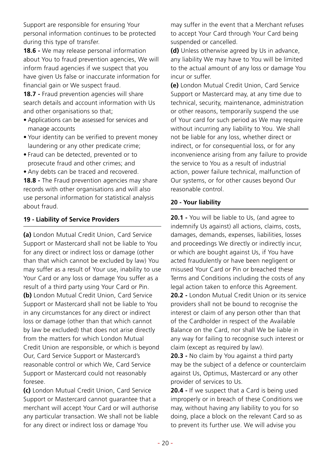Support are responsible for ensuring Your personal information continues to be protected during this type of transfer.

**18.6 -** We may release personal information about You to fraud prevention agencies, We will inform fraud agencies if we suspect that you have given Us false or inaccurate information for financial gain or We suspect fraud.

**18.7 -** Fraud prevention agencies will share search details and account information with Us and other organisations so that;

- Applications can be assessed for services and manage accounts
- Your identity can be verified to prevent money laundering or any other predicate crime;
- Fraud can be detected, prevented or to prosecute fraud and other crimes; and
- Any debts can be traced and recovered.

**18.8 -** The Fraud prevention agencies may share records with other organisations and will also use personal information for statistical analysis about fraud.

# **19 - Liability of Service Providers**

**(a)** London Mutual Credit Union, Card Service Support or Mastercard shall not be liable to You for any direct or indirect loss or damage (other than that which cannot be excluded by law) You may suffer as a result of Your use, inability to use Your Card or any loss or damage You suffer as a result of a third party using Your Card or Pin. **(b)** London Mutual Credit Union, Card Service Support or Mastercard shall not be liable to You in any circumstances for any direct or indirect loss or damage (other than that which cannot by law be excluded) that does not arise directly from the matters for which London Mutual Credit Union are responsible, or which is beyond Our, Card Service Support or Mastercard's reasonable control or which We, Card Service Support or Mastercard could not reasonably foresee.

**(c)** London Mutual Credit Union, Card Service Support or Mastercard cannot guarantee that a merchant will accept Your Card or will authorise any particular transaction. We shall not be liable for any direct or indirect loss or damage You

may suffer in the event that a Merchant refuses to accept Your Card through Your Card being suspended or cancelled.

**(d)** Unless otherwise agreed by Us in advance, any liability We may have to You will be limited to the actual amount of any loss or damage You incur or suffer.

**(e)** London Mutual Credit Union, Card Service Support or Mastercard may, at any time due to technical, security, maintenance, administration or other reasons, temporarily suspend the use of Your card for such period as We may require without incurring any liability to You. We shall not be liable for any loss, whether direct or indirect, or for consequential loss, or for any inconvenience arising from any failure to provide the service to You as a result of industrial action, power failure technical, malfunction of Our systems, or for other causes beyond Our reasonable control.

# **20 - Your liability**

**20.1 -** You will be liable to Us, (and agree to indemnify Us against) all actions, claims, costs, damages, demands, expenses, liabilities, losses and proceedings We directly or indirectly incur, or which are bought against Us, if You have acted fraudulently or have been negligent or misused Your Card or Pin or breached these Terms and Conditions including the costs of any legal action taken to enforce this Agreement. **20.2 -** London Mutual Credit Union or its service providers shall not be bound to recognise the interest or claim of any person other than that of the Cardholder in respect of the Available Balance on the Card, nor shall We be liable in any way for failing to recognise such interest or claim (except as required by law).

**20.3 -** No claim by You against a third party may be the subject of a defence or counterclaim against Us, Optimus, Mastercard or any other provider of services to Us.

**20.4 -** If we suspect that a Card is being used improperly or in breach of these Conditions we may, without having any liability to you for so doing, place a block on the relevant Card so as to prevent its further use. We will advise you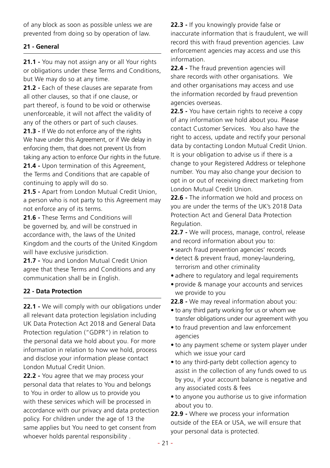of any block as soon as possible unless we are prevented from doing so by operation of law.

# **21 - General**

**21.1 -** You may not assign any or all Your rights or obligations under these Terms and Conditions, but We may do so at any time.

**21.2 -** Each of these clauses are separate from all other clauses, so that if one clause, or part thereof, is found to be void or otherwise unenforceable, it will not affect the validity of any of the others or part of such clauses.

**21.3 -** If We do not enforce any of the rights We have under this Agreement, or if We delay in enforcing them, that does not prevent Us from taking any action to enforce Our rights in the future.

**21.4 -** Upon termination of this Agreement, the Terms and Conditions that are capable of continuing to apply will do so.

**21.5 -** Apart from London Mutual Credit Union, a person who is not party to this Agreement may not enforce any of its terms.

**21.6 -** These Terms and Conditions will be governed by, and will be construed in accordance with, the laws of the United Kingdom and the courts of the United Kingdom will have exclusive jurisdiction.

**21.7 -** You and London Mutual Credit Union agree that these Terms and Conditions and any communication shall be in English.

# **22 - Data Protection**

**22.1 -** We will comply with our obligations under all relevant data protection legislation including UK Data Protection Act 2018 and General Data Protection regulation ("GDPR") in relation to the personal data we hold about you. For more information in relation to how we hold, process and disclose your information please contact London Mutual Credit Union.

**22.2 -** You agree that we may process your personal data that relates to You and belongs to You in order to allow us to provide you with these services which will be processed in accordance with our privacy and data protection policy. For children under the age of 13 the same applies but You need to get consent from whoever holds parental responsibility .

**22.3 -** If you knowingly provide false or inaccurate information that is fraudulent, we will record this with fraud prevention agencies. Law enforcement agencies may access and use this information.

**22.4 -** The fraud prevention agencies will share records with other organisations. We and other organisations may access and use the information recorded by fraud prevention agencies overseas.

**22.5 -** You have certain rights to receive a copy of any information we hold about you. Please contact Customer Services. You also have the right to access, update and rectify your personal data by contacting London Mutual Credit Union. It is your obligation to advise us if there is a change to your Registered Address or telephone number. You may also change your decision to opt in or out of receiving direct marketing from London Mutual Credit Union.

**22.6 -** The information we hold and process on you are under the terms of the UK's 2018 Data Protection Act and General Data Protection Regulation.

**22.7 -** We will process, manage, control, release and record information about you to:

- search fraud prevention agencies' records
- detect & prevent fraud, money-laundering, terrorism and other criminality
- adhere to regulatory and legal requirements
- provide & manage your accounts and services we provide to you
- **22.8 -** We may reveal information about you:
- to any third party working for us or whom we transfer obligations under our agreement with you
- to fraud prevention and law enforcement agencies
- to any payment scheme or system player under which we issue your card
- to any third-party debt collection agency to assist in the collection of any funds owed to us by you, if your account balance is negative and any associated costs & fees
- to anyone you authorise us to give information about you to.

**22.9 -** Where we process your information outside of the EEA or USA, we will ensure that your personal data is protected.